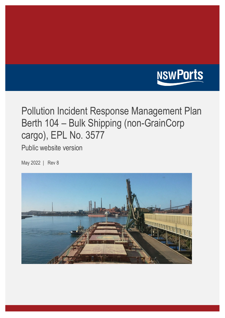

# Pollution Incident Response Management Plan Berth 104 – Bulk Shipping (non-GrainCorp cargo), EPL No. 3577

Public website version

May 2022 | Rev 8

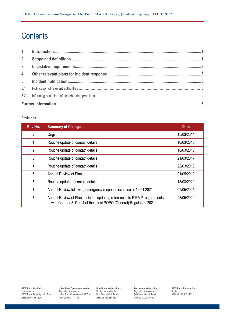## **Contents**

#### **Revisions**

| Rev No.                 | <b>Summary of Changes</b>                                                                                                                           | <b>Date</b> |
|-------------------------|-----------------------------------------------------------------------------------------------------------------------------------------------------|-------------|
| 0                       | Original                                                                                                                                            | 15/03/2014  |
| 1                       | Routine update of contact details                                                                                                                   | 16/03/2015  |
| $\mathbf{2}$            | Routine update of contact details                                                                                                                   | 18/03/2016  |
| 3                       | Routine update of contact details                                                                                                                   | 21/03/2017  |
| $\overline{\mathbf{4}}$ | Routine update of contact details                                                                                                                   | 22/03/2018  |
| 5                       | Annual Review of Plan                                                                                                                               | 01/05/2019  |
| $6\phantom{1}6$         | Routine update of contact details                                                                                                                   | 18/03/2020  |
| 7                       | Annual Review following emergency response exercise on 16.04.2021                                                                                   | 07/05/2021  |
| 8                       | Annual Review of Plan, includes updating references to PIRMP requirements<br>now in Chapter 8, Part 4 of the latest POEO (General) Regulation 2021. | 23/05/2022  |

**NSW Ports Pty Ltd** as trustee for NSW Ports Property Hold Trust ABN 25 674 171 329

**NSW Ports Operations Hold Co** Pty Ltd as trustee for NSW Ports Operations Hold Trust ABN 28 792 171 144

**Port Botany Operations** Pty Ltd as trustee for Port Botany Unit Trust ABN 25 855 834 182

**Port Kembla Operations** Pty Ltd as trustee for Port Kembla Unit Trust ABN 50 132 250 580

**NSW Ports Finance Co** Pty Ltd ABN 83 161 943 497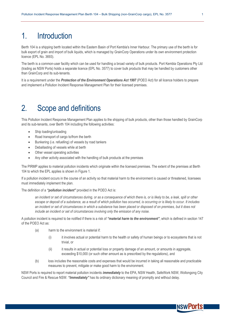### 1. Introduction

Berth 104 is a shipping berth located within the Eastern Basin of Port Kembla's Inner Harbour. The primary use of the berth is for bulk export of grain and import of bulk liquids, which is managed by GrainCorp Operations under its own environment protection licence (EPL No. 3693).

The berth is a common-user facility which can be used for handling a broad variety of bulk products. Port Kembla Operations Pty Ltd (trading as NSW Ports) holds a separate licence (EPL No. 3577) to cover bulk products that may be handled by customers other than GrainCorp and its sub-tenants.

It is a requirement under the *Protection of the Environment Operations Act 1997* (POEO Act) for all licence holders to prepare and implement a Pollution Incident Response Management Plan for their licensed premises.

### 2. Scope and definitions

This Pollution Incident Response Management Plan applies to the shipping of bulk products, other than those handled by GrainCorp and its sub-tenants, over Berth 104 including the following activities:

- Ship loading/unloading
- Road transport of cargo to/from the berth
- Bunkering (i.e. refuelling) of vessels by road tankers
- Deballasting of vessels while at berth
- Other vessel operating activities
- Any other activity associated with the handling of bulk products at the premises

The PIRMP applies to material pollution incidents which originate within the licensed premises. The extent of the premises at Berth 104 to which the EPL applies is shown in Figure 1.

If a pollution incident occurs in the course of an activity so that material harm to the environment is caused or threatened, licensees must immediately implement the plan.

The definition of a *"pollution incident"* provided in the POEO Act is:

*an incident or set of circumstances during, or as a consequence of which there is, or is likely to be, a leak, spill or other escape or deposit of a substance, as a result of which pollution has occurred, is occurring or is likely to occur. It includes an incident or set of circumstances in which a substance has been placed or disposed of on premises, but it does not include an incident or set of circumstances involving only the emission of any noise.*

A pollution incident is required to be notified if there is a risk of *"material harm to the environment"*, which is defined in section 147 of the POEO Act as:

- (a) harm to the environment is material if:
	- (i) it involves actual or potential harm to the health or safety of human beings or to ecosystems that is not trivial, or
	- (ii) it results in actual or potential loss or property damage of an amount, or amounts in aggregate, exceeding \$10,000 (or such other amount as is prescribed by the regulations), and
- (b) loss includes the reasonable costs and expenses that would be incurred in taking all reasonable and practicable measures to prevent, mitigate or make good harm to the environment.

NSW Ports is required to report material pollution incidents *immediately* to the EPA, NSW Health, SafeWork NSW, Wollongong City Council and Fire & Rescue NSW. *"Immediately"* has its ordinary dictionary meaning of promptly and without delay.

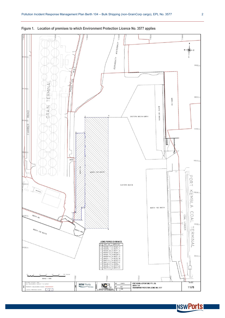



**INSWPOrts**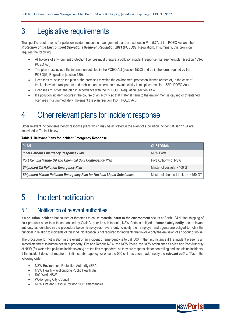### 3. Legislative requirements

The specific requirements for pollution incident response management plans are set out in Part 5.7A of the POEO Act and the *Protection of the Environment Operations (General) Regulation 2021* (POEO(G) Regulation). In summary, this provision requires the following:

- All holders of environment protection licences must prepare a pollution incident response management plan (section 153A, POEO Act).
- The plan must include the information detailed in the POEO Act (section 153C) and be in the form required by the POEO(G) Regulation (section 130).
- Licensees must keep the plan at the premises to which the environment protection licence relates or, in the case of trackable waste transporters and mobile plant, where the relevant activity takes place (section 153D, POEO Act).
- Licensees must test the plan in accordance with the POEO(G) Regulation (section 133).
- If a pollution incident occurs in the course of an activity so that material harm to the environment is caused or threatened, licensees must immediately implement the plan (section 153F, POEO Act).

### 4. Other relevant plans for incident response

Other relevant incident/emergency response plans which may be activated in the event of a pollution incident at Berth 104 are described in Table 1 below.

#### **Table 1. Relevant Plans for Incident/Emergency Response**

| <b>PLAN</b>                                                                    | <b>CUSTODIAN</b>                    |
|--------------------------------------------------------------------------------|-------------------------------------|
| <b>Inner Harbour Emergency Response Plan</b>                                   | <b>NSW Ports</b>                    |
| <b>Port Kembla Marine Oil and Chemical Spill Contingency Plan</b>              | Port Authority of NSW               |
| <b>Shipboard Oil Pollution Emergency Plan</b>                                  | Master of vessels > 400 GT          |
| <b>Shipboard Marine Pollution Emergency Plan for Noxious Liquid Substances</b> | Master of chemical tankers > 150 GT |

### 5. Incident notification

### 5.1. Notification of relevant authorities

If a **pollution incident** that causes or threatens to cause **material harm to the environment** occurs at Berth 104 during shipping of bulk products other than those handled by GrainCorp or its sub-tenants, NSW Ports is obliged to **immediately notify** each relevant authority as identified in the procedure below. Employees have a duty to notify their employer and agents are obliged to notify the principal in relation to incidents of this kind. Notification is not required for incidents that involve only the emission of an odour or noise.

The procedure for notification in the event of an incident or emergency is to call 000 in the first instance if the incident presents an immediate threat to human health or property. Fire and Rescue NSW, the NSW Police, the NSW Ambulance Service and Port Authority of NSW (for waterside pollution incidents only) are the first responders, as they are responsible for controlling and containing incidents. If the incident does not require an initial combat agency, or once the 000 call has been made, notify the *relevant authorities* in the following order:

- NSW Environment Protection Authority (EPA)
- NSW Health Wollongong Public Health Unit
- SafeWork NSW
- Wollongong City Council
- NSW Fire and Rescue (for non '000' emergencies)

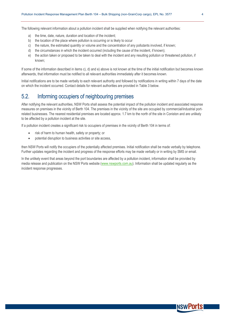The following relevant information about a pollution incident shall be supplied when notifying the relevant authorities:

- a) the time, date, nature, duration and location of the incident;
- b) the location of the place where pollution is occurring or is likely to occur
- c) the nature, the estimated quantity or volume and the concentration of any pollutants involved, if known;
- d) the circumstances in which the incident occurred (including the cause of the incident, if known);
- e) the action taken or proposed to be taken to deal with the incident and any resulting pollution or threatened pollution, if known;

If some of the information described in items c), d) and e) above is not known at the time of the initial notification but becomes known afterwards, that information must be notified to all relevant authorities immediately after it becomes known.

Initial notifications are to be made verbally to each relevant authority and followed by notifications in writing within 7 days of the date on which the incident occurred. Contact details for relevant authorities are provided in Table 3 below.

### 5.2. Informing occupiers of neighbouring premises

After notifying the relevant authorities, NSW Ports shall assess the potential impact of the pollution incident and associated response measures on premises in the vicinity of Berth 104. The premises in the vicinity of the site are occupied by commercial/industrial portrelated businesses. The nearest residential premises are located approx. 1.7 km to the north of the site in Coniston and are unlikely to be affected by a pollution incident at the site.

If a pollution incident creates a significant risk to occupiers of premises in the vicinity of Berth 104 in terms of:

- risk of harm to human health, safety or property; or
- potential disruption to business activities or site access,

then NSW Ports will notify the occupiers of the potentially affected premises. Initial notification shall be made verbally by telephone. Further updates regarding the incident and progress of the response efforts may be made verbally or in writing by SMS or email.

In the unlikely event that areas beyond the port boundaries are affected by a pollution incident, information shall be provided by media release and publication on the NSW Ports website [\(www.nswports.com.au\)](http://www.nswports.com.au/). Information shall be updated regularly as the incident response progresses.

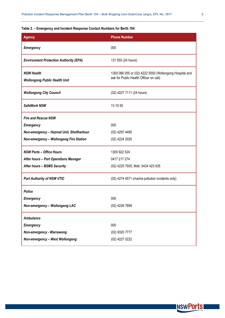#### **Table 2. – Emergency and Incident Response Contact Numbers for Berth 104**

| <b>Agency</b>                                             | <b>Phone Number</b>                                                                               |
|-----------------------------------------------------------|---------------------------------------------------------------------------------------------------|
| <b>Emergency</b>                                          | 000                                                                                               |
| <b>Environment Protection Authority (EPA)</b>             | 131 555 (24 hours)                                                                                |
| <b>NSW Health</b><br><b>Wollongong Public Health Unit</b> | 1300 066 055 or (02) 4222 5000 (Wollongong Hospital and<br>ask for Public Health Officer on call) |
| <b>Wollongong City Council</b>                            | (02) 4227 7111 (24 hours)                                                                         |
| SafeWork NSW                                              | 13 10 50                                                                                          |
| <b>Fire and Rescue NSW</b>                                |                                                                                                   |
| <b>Emergency</b>                                          | 000                                                                                               |
| Non-emergency - Hazmat Unit, Shellharbour                 | (02) 4297 4485                                                                                    |
| Non-emergency - Wollongong Fire Station                   | (02) 4224 2020                                                                                    |
| <b>NSW Ports - Office Hours</b>                           | 1300 922 524                                                                                      |
| <b>After hours - Port Operations Manager</b>              | 0417 217 274                                                                                      |
| <b>After hours - BSMS Security</b>                        | (02) 4225 7935, Mob: 0434 423 935                                                                 |
| <b>Port Authority of NSW VTIC</b>                         | (02) 4274 4571 (marine pollution incidents only)                                                  |
| <b>Police</b>                                             |                                                                                                   |
| <b>Emergency</b>                                          | 000                                                                                               |
| Non-emergency - Wollongong LAC                            | (02) 4226 7899                                                                                    |
| <b>Ambulance</b>                                          |                                                                                                   |
| <b>Emergency</b>                                          | 000                                                                                               |
| Non-emergency - Warrawong                                 | (02) 9320 7777                                                                                    |
| Non-emergency - West Wollongong                           | (02) 4227 0222                                                                                    |